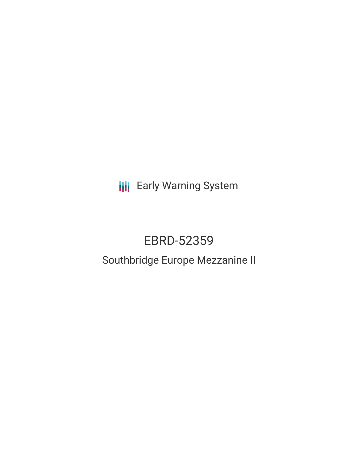**III** Early Warning System

# EBRD-52359

# Southbridge Europe Mezzanine II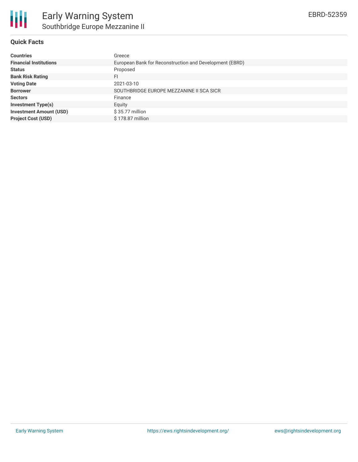

### **Quick Facts**

| <b>Countries</b>               | Greece                                                  |
|--------------------------------|---------------------------------------------------------|
| <b>Financial Institutions</b>  | European Bank for Reconstruction and Development (EBRD) |
| <b>Status</b>                  | Proposed                                                |
| <b>Bank Risk Rating</b>        | FI                                                      |
| <b>Voting Date</b>             | 2021-03-10                                              |
| <b>Borrower</b>                | SOUTHBRIDGE EUROPE MEZZANINE II SCA SICR                |
| <b>Sectors</b>                 | Finance                                                 |
| <b>Investment Type(s)</b>      | Equity                                                  |
| <b>Investment Amount (USD)</b> | $$35.77$ million                                        |
| <b>Project Cost (USD)</b>      | \$178.87 million                                        |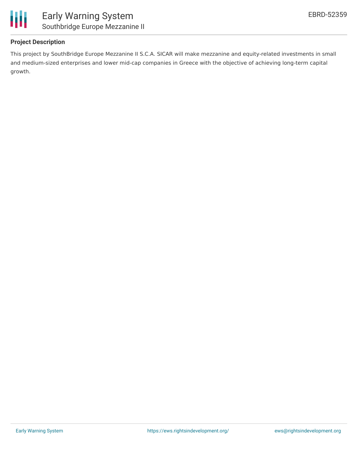

## **Project Description**

This project by SouthBridge Europe Mezzanine II S.C.A. SICAR will make mezzanine and equity-related investments in small and medium-sized enterprises and lower mid-cap companies in Greece with the objective of achieving long-term capital growth.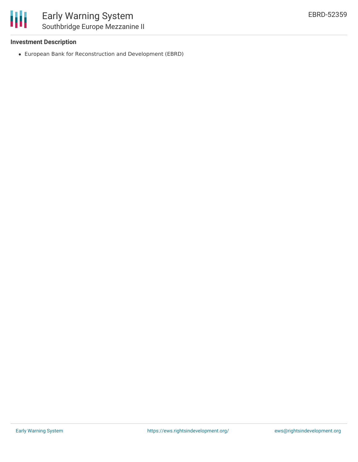

#### **Investment Description**

European Bank for Reconstruction and Development (EBRD)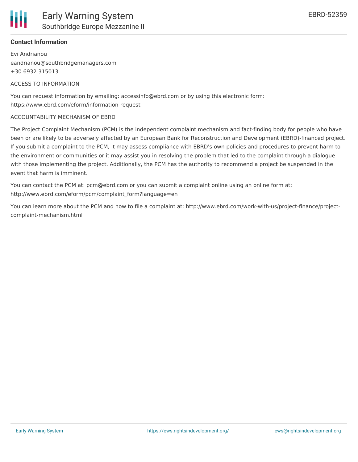

#### **Contact Information**

Evi Andrianou eandrianou@southbridgemanagers.com +30 6932 315013

#### ACCESS TO INFORMATION

You can request information by emailing: accessinfo@ebrd.com or by using this electronic form: https://www.ebrd.com/eform/information-request

#### ACCOUNTABILITY MECHANISM OF EBRD

The Project Complaint Mechanism (PCM) is the independent complaint mechanism and fact-finding body for people who have been or are likely to be adversely affected by an European Bank for Reconstruction and Development (EBRD)-financed project. If you submit a complaint to the PCM, it may assess compliance with EBRD's own policies and procedures to prevent harm to the environment or communities or it may assist you in resolving the problem that led to the complaint through a dialogue with those implementing the project. Additionally, the PCM has the authority to recommend a project be suspended in the event that harm is imminent.

You can contact the PCM at: pcm@ebrd.com or you can submit a complaint online using an online form at: http://www.ebrd.com/eform/pcm/complaint\_form?language=en

You can learn more about the PCM and how to file a complaint at: http://www.ebrd.com/work-with-us/project-finance/projectcomplaint-mechanism.html